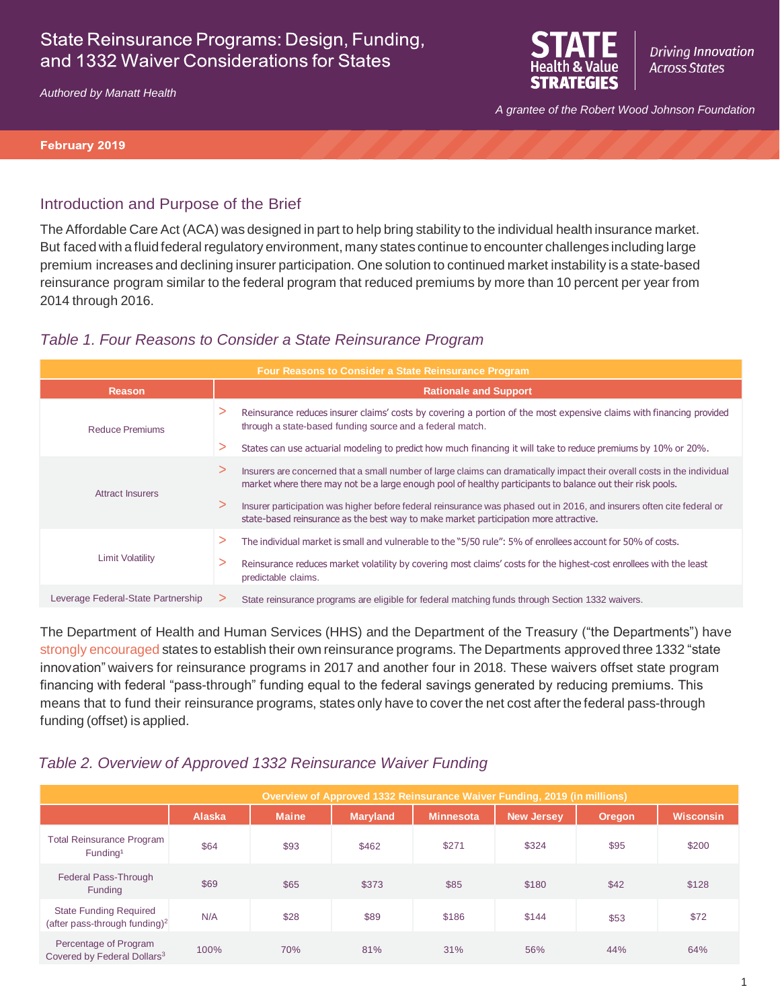# State Reinsurance Programs: Design, Funding, and 1332 Waiver Considerations for States





*A grantee of the Robert Wood Johnson Foundation*

#### **February 2019**

#### Introduction and Purpose of the Brief

The Affordable Care Act (ACA) was designed in part to help bring stability to the individual health insurance market. But faced with a fluidfederal regulatory environment, many states continue to encounter challenges including large premium increases and declining insurer participation. One solution to continued market instability is a state-based reinsurance program similar to the federal program that reduced premiums by more than 10 percent per year from 2014 through 2016.

### *Table 1. Four Reasons to Consider a State Reinsurance Program*

| <b>Four Reasons to Consider a State Reinsurance Program</b> |   |                                                                                                                                                                                                                                        |  |  |
|-------------------------------------------------------------|---|----------------------------------------------------------------------------------------------------------------------------------------------------------------------------------------------------------------------------------------|--|--|
| <b>Reason</b>                                               |   | <b>Rationale and Support</b>                                                                                                                                                                                                           |  |  |
| Reduce Premiums                                             | > | Reinsurance reduces insurer claims' costs by covering a portion of the most expensive claims with financing provided<br>through a state-based funding source and a federal match.                                                      |  |  |
|                                                             | ⋗ | States can use actuarial modeling to predict how much financing it will take to reduce premiums by 10% or 20%.                                                                                                                         |  |  |
| <b>Attract Insurers</b>                                     | ⋗ | Insurers are concerned that a small number of large claims can dramatically impact their overall costs in the individual<br>market where there may not be a large enough pool of healthy participants to balance out their risk pools. |  |  |
|                                                             | ⋗ | Insurer participation was higher before federal reinsurance was phased out in 2016, and insurers often cite federal or<br>state-based reinsurance as the best way to make market participation more attractive.                        |  |  |
| <b>Limit Volatility</b>                                     | > | The individual market is small and vulnerable to the "5/50 rule": 5% of enrollees account for 50% of costs.                                                                                                                            |  |  |
|                                                             | ⋗ | Reinsurance reduces market volatility by covering most claims' costs for the highest-cost enrollees with the least<br>predictable claims.                                                                                              |  |  |
| Leverage Federal-State Partnership                          |   | State reinsurance programs are eligible for federal matching funds through Section 1332 waivers.                                                                                                                                       |  |  |

The Department of Health and Human Services (HHS) and the Department of the Treasury ("the Departments") have strongly [encouraged](https://www.cms.gov/CCIIO/Programs-and-Initiatives/State-Innovation-Waivers/Downloads/March-13-2017-letter_508.pdf) states to establish their own reinsurance programs. The Departments approved three 1332 "state innovation" waivers for reinsurance programs in 2017 and another four in 2018. These waivers offset state program financing with federal "pass-through" funding equal to the federal savings generated by reducing premiums. This means that to fund their reinsurance programs, states only have to cover the net cost after the federal pass-through funding (offset) is applied.

### *Table 2. Overview of Approved 1332 Reinsurance Waiver Funding*

| Overview of Approved 1332 Reinsurance Waiver Funding, 2019 (in millions)   |               |              |          |                  |                   |        |                  |
|----------------------------------------------------------------------------|---------------|--------------|----------|------------------|-------------------|--------|------------------|
|                                                                            | <b>Alaska</b> | <b>Maine</b> | Maryland | <b>Minnesota</b> | <b>New Jersey</b> | Oregon | <b>Wisconsin</b> |
| <b>Total Reinsurance Program</b><br>Fundina <sup>1</sup>                   | \$64          | \$93         | \$462    | \$271            | \$324             | \$95   | \$200            |
| Federal Pass-Through<br>Funding                                            | \$69          | \$65         | \$373    | \$85             | \$180             | \$42   | \$128            |
| <b>State Funding Required</b><br>(after pass-through funding) <sup>2</sup> | N/A           | \$28         | \$89     | \$186            | \$144             | \$53   | \$72             |
| Percentage of Program<br>Covered by Federal Dollars <sup>3</sup>           | 100%          | 70%          | 81%      | 31%              | 56%               | 44%    | 64%              |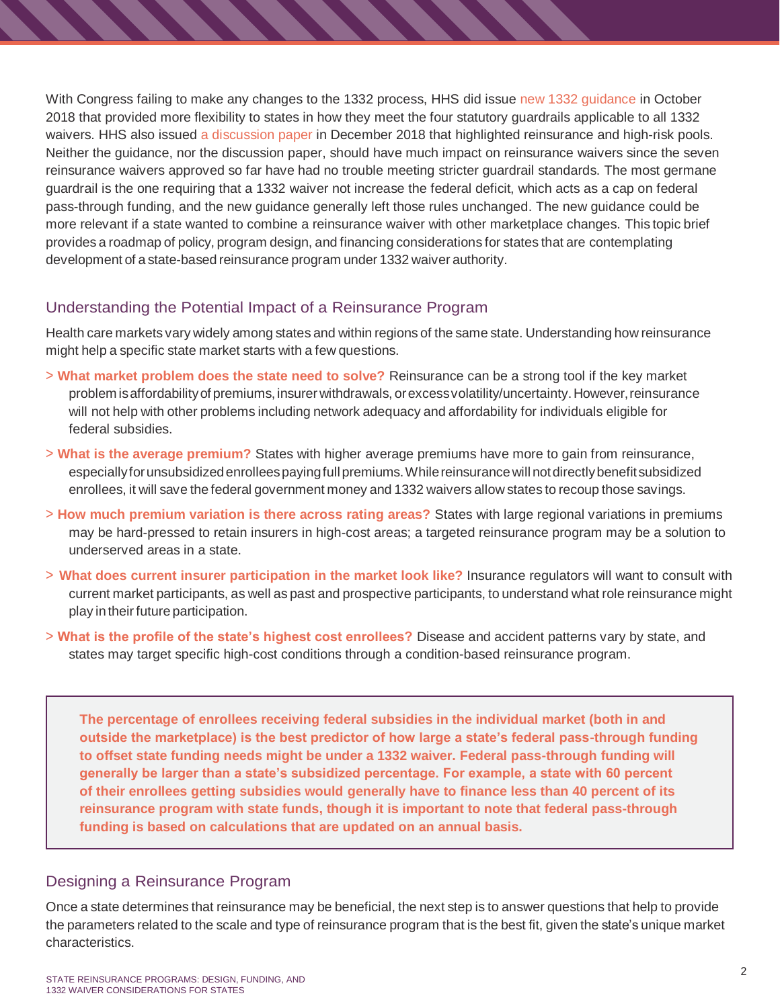With Congress failing to make any changes to the 1332 process, HHS did issue [new 1332 guidance](https://www.federalregister.gov/documents/2018/10/24/2018-23182/state-relief-and-empowerment-waivers) in October 2018 that provided more flexibility to states in how they meet the four statutory guardrails applicable to all 1332 waivers. HHS also issued [a discussion paper](https://www.cms.gov/CCIIO/Programs-and-Initiatives/State-Innovation-Waivers/Downloads/Waiver-Concepts-Guidance.PDF) in December 2018 that highlighted reinsurance and high-risk pools. Neither the guidance, nor the discussion paper, should have much impact on reinsurance waivers since the seven reinsurance waivers approved so far have had no trouble meeting stricter guardrail standards. The most germane guardrail is the one requiring that a 1332 waiver not increase the federal deficit, which acts as a cap on federal pass-through funding, and the new guidance generally left those rules unchanged. The new guidance could be more relevant if a state wanted to combine a reinsurance waiver with other marketplace changes. This topic brief provides a roadmap of policy, program design, and financing considerations for states that are contemplating development of a state-based reinsurance program under 1332 waiver authority.

## Understanding the Potential Impact of a Reinsurance Program

Health care markets vary widely among states and within regions of the same state. Understanding how reinsurance might help a specific state market starts with a few questions.

- > **What market problem does the state need to solve?** Reinsurance can be a strong tool if the key market problem isaffordabilityof premiums,insurerwithdrawals, orexcessvolatility/uncertainty.However,reinsurance will not help with other problems including network adequacy and affordability for individuals eligible for federal subsidies.
- > **What is the average premium?** States with higher average premiums have more to gain from reinsurance, especiallyforunsubsidizedenrolleespayingfullpremiums.Whilereinsurancewillnotdirectlybenefit subsidized enrollees, it will save the federal government money and 1332 waivers allow states to recoup those savings.
- > **How much premium variation is there across rating areas?** States with large regional variations in premiums may be hard-pressed to retain insurers in high-cost areas; a targeted reinsurance program may be a solution to underserved areas in a state.
- > **What does current insurer participation in the market look like?** Insurance regulators will want to consult with current market participants, as well as past and prospective participants, to understand what role reinsurance might play intheirfuture participation.
- > **What is the profile of the state's highest cost enrollees?** Disease and accident patterns vary by state, and states may target specific high-cost conditions through a condition-based reinsurance program.

**The percentage of enrollees receiving federal subsidies in the individual market (both in and outside the marketplace) is the best predictor of how large a state's federal pass-through funding to offset state funding needs might be under a 1332 waiver. Federal pass-through funding will generally be larger than a state's subsidized percentage. For example, a state with 60 percent of their enrollees getting subsidies would generally have to finance less than 40 percent of its reinsurance program with state funds, though it is important to note that federal pass-through funding is based on calculations that are updated on an annual basis.**

### Designing a Reinsurance Program

Once a state determines that reinsurance may be beneficial, the next step is to answer questions that help to provide the parameters related to the scale and type of reinsurance program that is the best fit, given the state's unique market characteristics.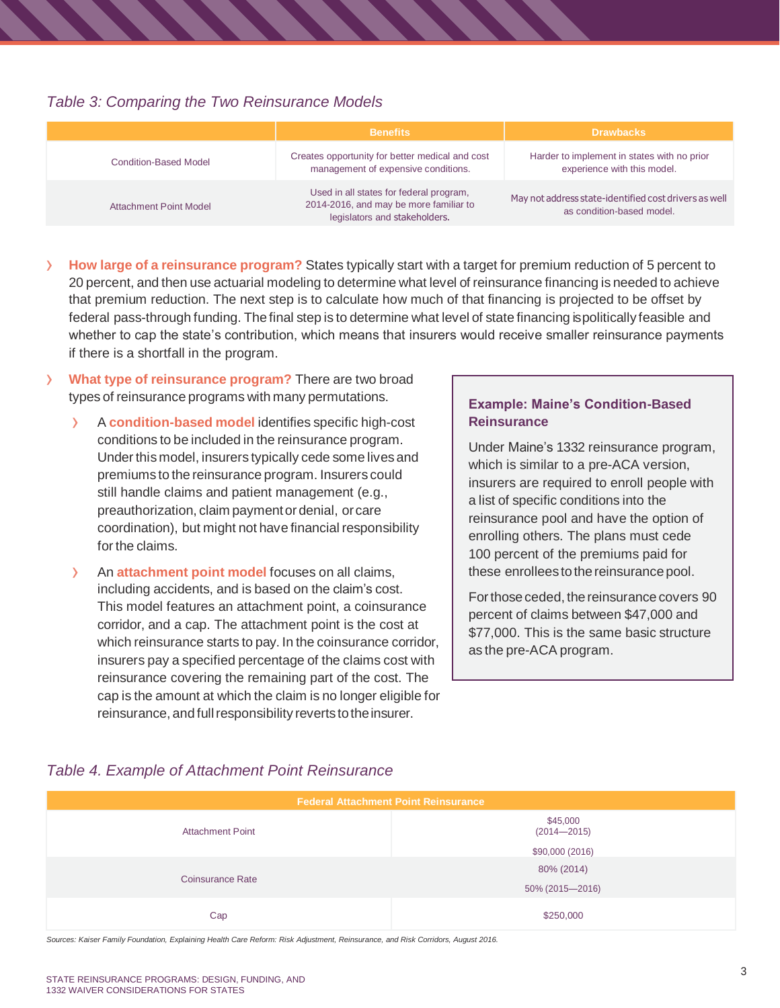### *Table 3: Comparing the Two Reinsurance Models*

|                        | <b>Benefits</b>                                                                                                    | <b>Drawbacks</b>                                                                   |
|------------------------|--------------------------------------------------------------------------------------------------------------------|------------------------------------------------------------------------------------|
| Condition-Based Model  | Creates opportunity for better medical and cost<br>management of expensive conditions.                             | Harder to implement in states with no prior<br>experience with this model.         |
| Attachment Point Model | Used in all states for federal program,<br>2014-2016, and may be more familiar to<br>legislators and stakeholders. | May not address state-identified cost drivers as well<br>as condition-based model. |

- › **How large of <sup>a</sup> reinsurance program?** States typically start with <sup>a</sup> target for premium reduction of <sup>5</sup> percent to 20 percent, and then use actuarial modeling to determine what level of reinsurance financing is needed to achieve that premium reduction. The next step is to calculate how much of that financing is projected to be offset by federal pass-through funding. The final step is to determine what level of state financing is politically feasible and whether to cap the state's contribution, which means that insurers would receive smaller reinsurance payments if there is a shortfall in the program.
- › **What type of reinsurance program?** There are two broad types of reinsurance programs with many permutations.
	- › <sup>A</sup> **condition-based model** identifies specific high-cost conditions to be included in the reinsurance program. Under this model, insurers typically cede some lives and premiums to the reinsurance program. Insurers could still handle claims and patient management (e.g., preauthorization, claim paymentor denial, orcare coordination), but might not have financial responsibility for the claims.
	- › An **attachment point model** focuses on all claims, including accidents, and is based on the claim's cost. This model features an attachment point, a coinsurance corridor, and a cap. The attachment point is the cost at which reinsurance starts to pay. In the coinsurance corridor, insurers pay a specified percentage of the claims cost with reinsurance covering the remaining part of the cost. The cap is the amount at which the claim is no longer eligible for reinsurance, and full responsibility reverts to the insurer.

#### **Example: Maine's Condition-Based Reinsurance**

Under Maine's 1332 reinsurance program, which is similar to a pre-ACA version, insurers are required to enroll people with a list of specific conditions into the reinsurance pool and have the option of enrolling others. The plans must cede 100 percent of the premiums paid for these enrollees to the reinsurance pool.

For those ceded, the reinsurance covers 90 percent of claims between \$47,000 and \$77,000. This is the same basic structure as the pre-ACA program.

## *Table 4. Example of Attachment Point Reinsurance*

| <b>Federal Attachment Point Reinsurance</b> |                             |  |  |  |
|---------------------------------------------|-----------------------------|--|--|--|
| <b>Attachment Point</b>                     | \$45,000<br>$(2014 - 2015)$ |  |  |  |
|                                             | \$90,000 (2016)             |  |  |  |
| Coinsurance Rate                            | 80% (2014)                  |  |  |  |
|                                             | 50% (2015-2016)             |  |  |  |
| Cap                                         | \$250,000                   |  |  |  |

*Sources: Kaiser Family Foundation, Explaining Health Care Reform: Risk Adjustment, Reinsurance, and Risk Corridors, August 2016.*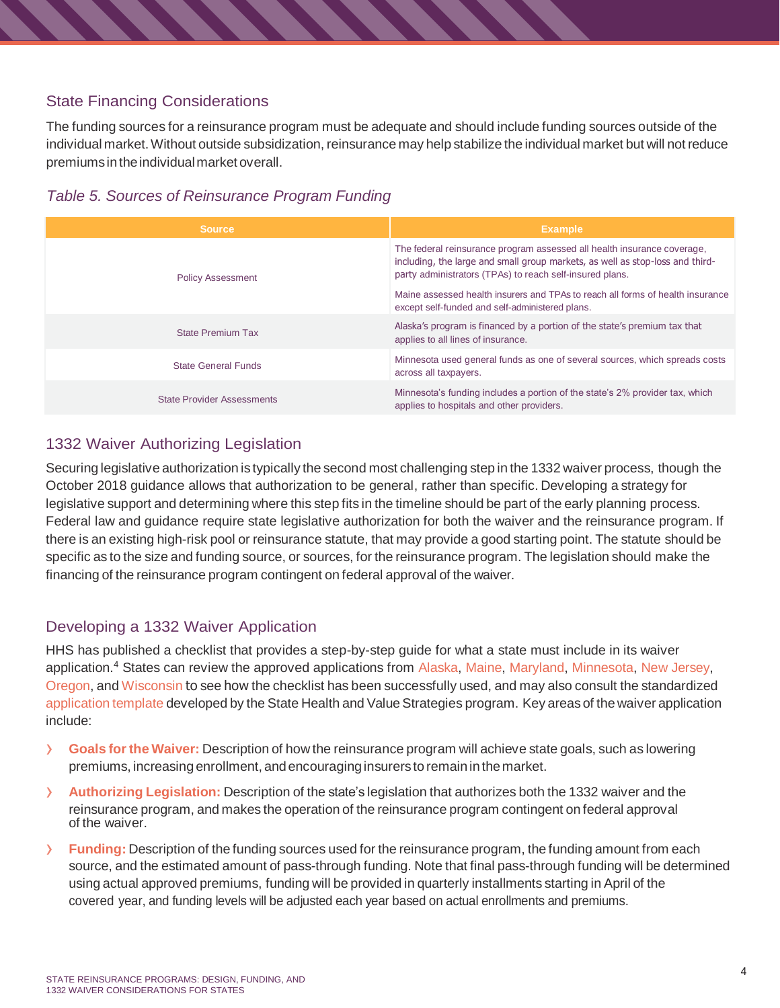## State Financing Considerations

The funding sources for a reinsurance program must be adequate and should include funding sources outside of the individual market.Without outside subsidization, reinsurance may help stabilize the individual market but will not reduce premiums in the individual market overall.



| <b>Source</b>                     | <b>Example</b>                                                                                                                                                                                                       |
|-----------------------------------|----------------------------------------------------------------------------------------------------------------------------------------------------------------------------------------------------------------------|
| <b>Policy Assessment</b>          | The federal reinsurance program assessed all health insurance coverage,<br>including, the large and small group markets, as well as stop-loss and third-<br>party administrators (TPAs) to reach self-insured plans. |
|                                   | Maine assessed health insurers and TPAs to reach all forms of health insurance<br>except self-funded and self-administered plans.                                                                                    |
| <b>State Premium Tax</b>          | Alaska's program is financed by a portion of the state's premium tax that<br>applies to all lines of insurance.                                                                                                      |
| <b>State General Funds</b>        | Minnesota used general funds as one of several sources, which spreads costs<br>across all taxpayers.                                                                                                                 |
| <b>State Provider Assessments</b> | Minnesota's funding includes a portion of the state's 2% provider tax, which<br>applies to hospitals and other providers.                                                                                            |

# 1332 Waiver Authorizing Legislation

Securing legislative authorization is typically the second most challenging step in the 1332 waiver process, though the October 2018 guidance allows that authorization to be general, rather than specific. Developing a strategy for legislative support and determining where this step fits in the timeline should be part of the early planning process. Federal law and guidance require state legislative authorization for both the waiver and the reinsurance program. If there is an existing high-risk pool or reinsurance statute, that may provide a good starting point. The statute should be specific as to the size and funding source, or sources, for the reinsurance program. The legislation should make the financing of the reinsurance program contingent on federal approval of the waiver.

## Developing a 1332 Waiver Application

HHS has published a checklist that provides a step-by-step guide for what a state must include in its waiver application.<sup>4</sup> States can review the approved applications from [Alaska,](https://www.commerce.alaska.gov/web/Portals/11/Pub/Headlines/Alaska%201332%20State%20Innovation%20Waiver%20June%2015%202017.pdf?ver=2017-06-26-091456-033) [Maine,](https://www.maine.gov/pfr/insurance/mgara/Complete%20Maine%201332%20Waiver%20Application%20and%20Exhibits.pdf) [Maryland,](https://www.marylandhbe.com/wp-content/uploads/2018/08/Maryland_1332_State_Innovation_Waiver_to_Establish_a_State_Reinsurance_Program_UPDATED_August_15_2018.pdf) [Minnesota,](https://www.cms.gov/CCIIO/Programs-and-Initiatives/State-Innovation-Waivers/Downloads/Minnesota-Section-1332-Waiver.pdf) [New Jersey,](https://www.state.nj.us/dobi/division_insurance/section1332/180702finalwaiverapplication.pdf) [Oregon,](https://healthcare.oregon.gov/DocResources/1332-application.pdf) and [Wisconsin](https://oci.wi.gov/Documents/Regulation/1332%20Waiver%20WI%20Application.pdf) to see how the checklist has been successfully used, and may also consult the standardized [application](https://www.shvs.org/resource/application-template-for-section-1332-reinsurance-waiver/) template developed by the State Health and Value Strategies program. Key areas of the waiver application include:

- › **Goals forthe Waiver:** Description of how the reinsurance program will achieve state goals, such as lowering premiums, increasingenrollment, andencouraginginsurersto remaininthemarket.
- › **Authorizing Legislation:** Description of the state's legislation that authorizes both the <sup>1332</sup> waiver and the reinsurance program, and makes the operation of the reinsurance program contingent on federal approval of the waiver.
- › **Funding:** Description of the funding sources used for the reinsurance program, the funding amount from each source, and the estimated amount of pass-through funding. Note that final pass-through funding will be determined using actual approved premiums, funding will be provided in quarterly installments starting in April of the covered year, and funding levels will be adjusted each year based on actual enrollments and premiums.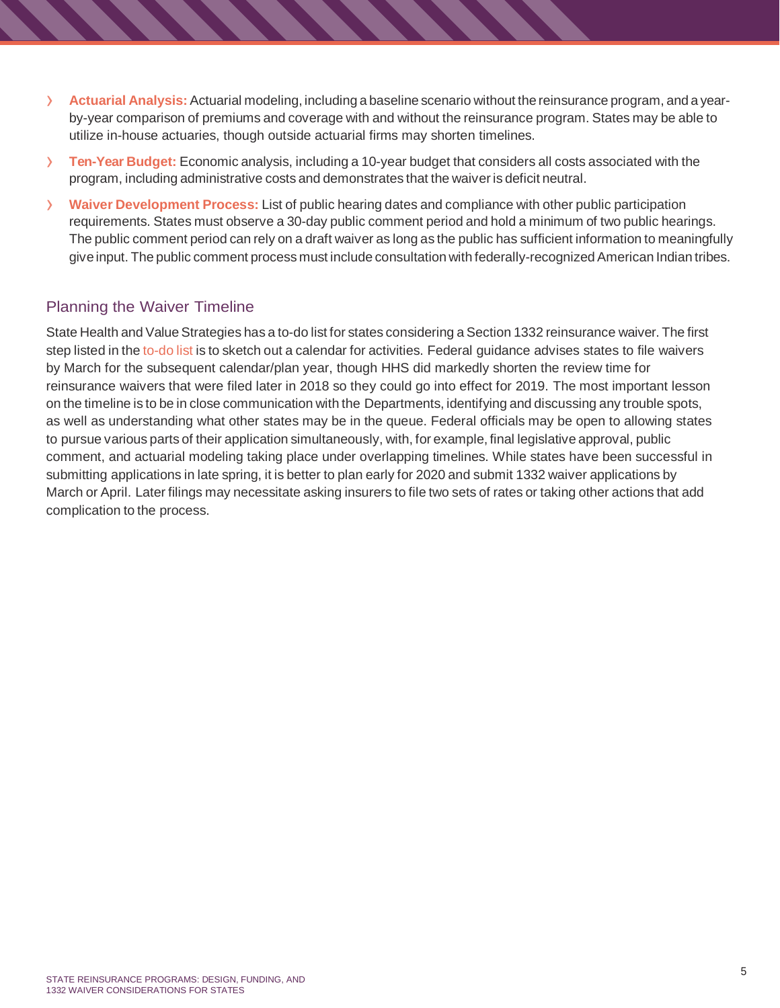- › **Actuarial Analysis:** Actuarial modeling, including <sup>a</sup> baseline scenario without the reinsurance program, and <sup>a</sup> yearby-year comparison of premiums and coverage with and without the reinsurance program. States may be able to utilize in-house actuaries, though outside actuarial firms may shorten timelines.
- › **Ten-Year Budget:** Economic analysis, including <sup>a</sup> 10-year budget that considers all costs associated with the program, including administrative costs and demonstrates that the waiver is deficit neutral.
- › **Waiver Development Process:** List of public hearing dates and compliance with other public participation requirements. States must observe a 30-day public comment period and hold a minimum of two public hearings. The public comment period can rely on a draft waiver as long as the public has sufficient information to meaningfully give input. The public comment process must include consultation with federally-recognized American Indian tribes.

## Planning the Waiver Timeline

State Health and Value Strategies has a to-do list for states considering a Section 1332 reinsurance waiver. The first step listed in the [to-do](https://www.shvs.org/wp-content/uploads/2018/09/Planning-Ahead-Summary-FINAL-Updated.pdf) list is to sketch out a calendar for activities. Federal guidance advises states to file waivers by March for the subsequent calendar/plan year, though HHS did markedly shorten the review time for reinsurance waivers that were filed later in 2018 so they could go into effect for 2019. The most important lesson on the timeline is to be in close communication with the Departments, identifying and discussing any trouble spots, as well as understanding what other states may be in the queue. Federal officials may be open to allowing states to pursue various parts of their application simultaneously, with, for example, final legislative approval, public comment, and actuarial modeling taking place under overlapping timelines. While states have been successful in submitting applications in late spring, it is better to plan early for 2020 and submit 1332 waiver applications by March or April. Later filings may necessitate asking insurers to file two sets of rates or taking other actions that add complication to the process.